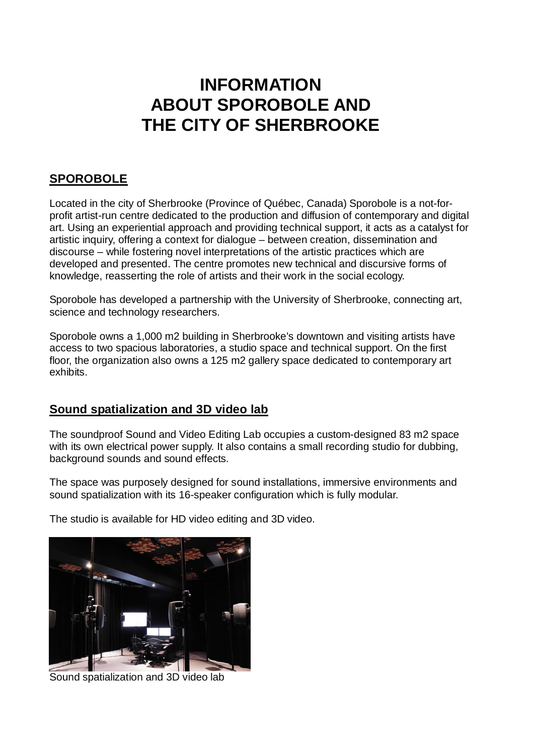# **INFORMATION ABOUT SPOROBOLE AND THE CITY OF SHERBROOKE**

# **SPOROBOLE**

Located in the city of Sherbrooke (Province of Québec, Canada) Sporobole is a not-forprofit artist-run centre dedicated to the production and diffusion of contemporary and digital art. Using an experiential approach and providing technical support, it acts as a catalyst for artistic inquiry, offering a context for dialogue – between creation, dissemination and discourse – while fostering novel interpretations of the artistic practices which are developed and presented. The centre promotes new technical and discursive forms of knowledge, reasserting the role of artists and their work in the social ecology.

Sporobole has developed a partnership with the University of Sherbrooke, connecting art, science and technology researchers.

Sporobole owns a 1,000 m2 building in Sherbrooke's downtown and visiting artists have access to two spacious laboratories, a studio space and technical support. On the first floor, the organization also owns a 125 m2 gallery space dedicated to contemporary art exhibits.

#### **Sound spatialization and 3D video lab**

The soundproof Sound and Video Editing Lab occupies a custom-designed 83 m2 space with its own electrical power supply. It also contains a small recording studio for dubbing, background sounds and sound effects.

The space was purposely designed for sound installations, immersive environments and sound spatialization with its 16-speaker configuration which is fully modular.

The studio is available for HD video editing and 3D video.



Sound spatialization and 3D video lab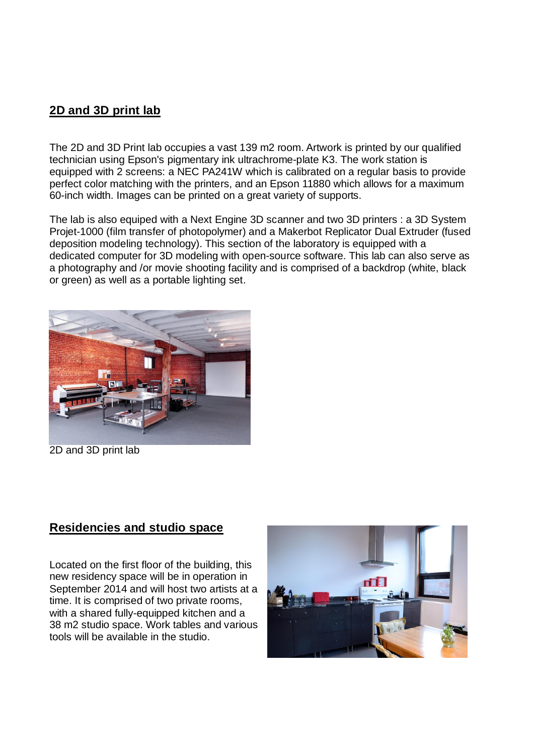### **2D and 3D print lab**

The 2D and 3D Print lab occupies a vast 139 m2 room. Artwork is printed by our qualified technician using Epson's pigmentary ink ultrachrome-plate K3. The work station is equipped with 2 screens: a NEC PA241W which is calibrated on a regular basis to provide perfect color matching with the printers, and an Epson 11880 which allows for a maximum 60-inch width. Images can be printed on a great variety of supports.

The lab is also equiped with a Next Engine 3D scanner and two 3D printers : a 3D System Projet-1000 (film transfer of photopolymer) and a Makerbot Replicator Dual Extruder (fused deposition modeling technology). This section of the laboratory is equipped with a dedicated computer for 3D modeling with open-source software. This lab can also serve as a photography and /or movie shooting facility and is comprised of a backdrop (white, black or green) as well as a portable lighting set.



2D and 3D print lab

#### **Residencies and studio space**

Located on the first floor of the building, this new residency space will be in operation in September 2014 and will host two artists at a time. It is comprised of two private rooms, with a shared fully-equipped kitchen and a 38 m2 studio space. Work tables and various tools will be available in the studio.